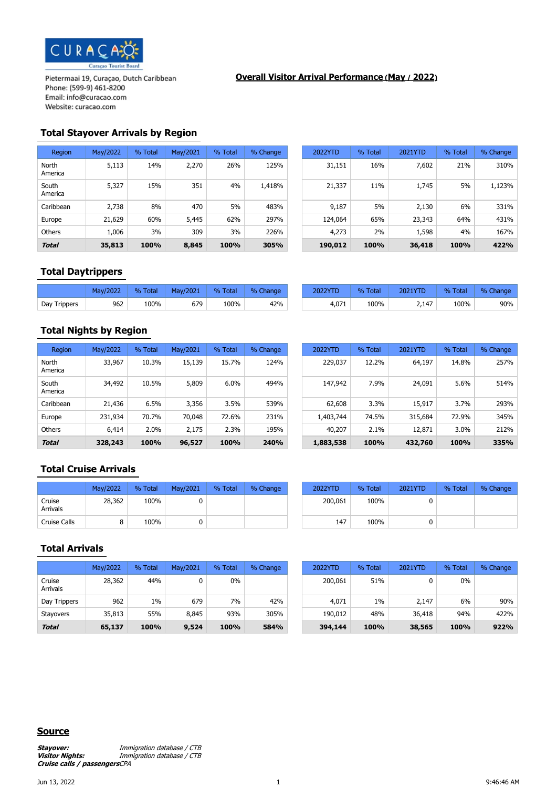

## **Overall Visitor Arrival Performance (May / 2022)**

# **Total Stayover Arrivals by Region**

| Region           | May/2022 | % Total | May/2021 | % Total | % Change | 2022YTD | % Total | 2021YTD | % Total | % Change |
|------------------|----------|---------|----------|---------|----------|---------|---------|---------|---------|----------|
| North<br>America | 5,113    | 14%     | 2,270    | 26%     | 125%     | 31,151  | 16%     | 7,602   | 21%     | 310%     |
| South<br>America | 5,327    | 15%     | 351      | 4%      | 1,418%   | 21,337  | 11%     | 1,745   | 5%      | 1,123%   |
| Caribbean        | 2,738    | 8%      | 470      | 5%      | 483%     | 9,187   | 5%      | 2,130   | 6%      | 331%     |
| Europe           | 21,629   | 60%     | 5,445    | 62%     | 297%     | 124,064 | 65%     | 23,343  | 64%     | 431%     |
| <b>Others</b>    | 1,006    | 3%      | 309      | 3%      | 226%     | 4,273   | 2%      | 1,598   | 4%      | 167%     |
| <b>Total</b>     | 35,813   | 100%    | 8,845    | 100%    | 305%     | 190,012 | 100%    | 36,418  | 100%    | 422%     |

| 2022  | % Total | May/2021 | % Total | % Change | 2022YTD | % Total | 2021YTD | % Total | % Change |
|-------|---------|----------|---------|----------|---------|---------|---------|---------|----------|
| 5,113 | 14%     | 2,270    | 26%     | 125%     | 31,151  | 16%     | 7,602   | 21%     | 310%     |
| 5,327 | 15%     | 351      | 4%      | 1,418%   | 21,337  | 11%     | 1,745   | 5%      | 1,123%   |
| 2,738 | 8%      | 470      | 5%      | 483%     | 9,187   | 5%      | 2,130   | 6%      | 331%     |
| 1,629 | 60%     | 5,445    | 62%     | 297%     | 124,064 | 65%     | 23,343  | 64%     | 431%     |
| 1,006 | 3%      | 309      | 3%      | 226%     | 4,273   | 2%      | 1,598   | 4%      | 167%     |
| 5,813 | 100%    | 8,845    | 100%    | 305%     | 190,012 | 100%    | 36,418  | 100%    | 422%     |

# **Total Daytrippers**

|              | May/2022 | <b>Total</b><br>$\frac{9}{6}$ | May/2021 | % Total | % Change | 2022YTD | % Total | <b>2021YTD</b> | Total<br>0/ | $\%$<br>Change |
|--------------|----------|-------------------------------|----------|---------|----------|---------|---------|----------------|-------------|----------------|
| Day Trippers | 962      | 100%                          | 679      | 100%    | 42%      | 4,071   | 100%    | 2,147          | 100%        | 90%            |

# **Total Nights by Region**

| Region           | May/2022 | % Total | May/2021 | % Total | % Change | 2022YTD   | % Total | 2021YTD | % Total | % Change |
|------------------|----------|---------|----------|---------|----------|-----------|---------|---------|---------|----------|
| North<br>America | 33,967   | 10.3%   | 15,139   | 15.7%   | 124%     | 229,037   | 12.2%   | 64,197  | 14.8%   | 257%     |
| South<br>America | 34,492   | 10.5%   | 5,809    | 6.0%    | 494%     | 147,942   | 7.9%    | 24,091  | 5.6%    | 514%     |
| Caribbean        | 21,436   | 6.5%    | 3,356    | 3.5%    | 539%     | 62,608    | 3.3%    | 15,917  | 3.7%    | 293%     |
| Europe           | 231,934  | 70.7%   | 70,048   | 72.6%   | 231%     | 1,403,744 | 74.5%   | 315,684 | 72.9%   | 345%     |
| <b>Others</b>    | 6,414    | 2.0%    | 2,175    | 2.3%    | 195%     | 40,207    | 2.1%    | 12,871  | 3.0%    | 212%     |
| <b>Total</b>     | 328,243  | 100%    | 96,527   | 100%    | 240%     | 1,883,538 | 100%    | 432,760 | 100%    | 335%     |

| 12022  | % Total | May/2021 | % Total | % Change | 2022YTD   | % Total | 2021YTD | % Total | % Change |
|--------|---------|----------|---------|----------|-----------|---------|---------|---------|----------|
| 33,967 | 10.3%   | 15,139   | 15.7%   | 124%     | 229,037   | 12.2%   | 64,197  | 14.8%   | 257%     |
| 34,492 | 10.5%   | 5,809    | 6.0%    | 494%     | 147,942   | 7.9%    | 24,091  | 5.6%    | 514%     |
| 21,436 | 6.5%    | 3,356    | 3.5%    | 539%     | 62,608    | 3.3%    | 15,917  | 3.7%    | 293%     |
| 31,934 | 70.7%   | 70,048   | 72.6%   | 231%     | 1,403,744 | 74.5%   | 315,684 | 72.9%   | 345%     |
| 6,414  | 2.0%    | 2,175    | 2.3%    | 195%     | 40,207    | 2.1%    | 12,871  | 3.0%    | 212%     |
| 8,243  | 100%    | 96,527   | 100%    | 240%     | 1,883,538 | 100%    | 432,760 | 100%    | 335%     |

# **Total Cruise Arrivals**

|                    | May/2022 | % Total | May/2021 | % Total | % Change | 2022YTD | % Total | 2021YTD |
|--------------------|----------|---------|----------|---------|----------|---------|---------|---------|
| Cruise<br>Arrivals | 28,362   | 100%    |          |         |          | 200,061 | 100%    |         |
| Cruise Calls       |          | 100%    |          |         |          | 147     | 100%    |         |

| May/2022 | % Total | May/2021 | % Total | % Change | 2022YTD | % Total | 2021YTD | % Total | % Change |
|----------|---------|----------|---------|----------|---------|---------|---------|---------|----------|
| 28,362   | 100%    |          |         |          | 200,061 | 100%    |         |         |          |
|          | 100%    |          |         |          | 147     | 100%    |         |         |          |

#### **Total Arrivals**

|                    | May/2022 | % Total | May/2021 | % Total | % Change | 2022YTD | % Total | 2021YTD | % Total | % Change |
|--------------------|----------|---------|----------|---------|----------|---------|---------|---------|---------|----------|
| Cruise<br>Arrivals | 28,362   | 44%     |          | 0%      |          | 200,061 | 51%     |         | 0%      |          |
| Day Trippers       | 962      | 1%      | 679      | 7%      | 42%      | 4,071   | $1\%$   | 2,147   | 6%      | 90%      |
| <b>Stayovers</b>   | 35,813   | 55%     | 8,845    | 93%     | 305%     | 190,012 | 48%     | 36,418  | 94%     | 422%     |
| <b>Total</b>       | 65,137   | 100%    | 9,524    | 100%    | 584%     | 394,144 | 100%    | 38,565  | 100%    | 922%     |

| May/2022 | % Total | May/2021 | % Total | % Change |
|----------|---------|----------|---------|----------|
| 28,362   | 44%     |          | $0\%$   |          |
| 962      | $1\%$   | 679      | 7%      | 42%      |
| 35,813   | 55%     | 8,845    | 93%     | 305%     |
| 65,137   | 100%    | 9,524    | 100%    | 584%     |

#### **Source**

**Stayover: Immigration database / CTB**<br>**Visitor Nights: Immigration database / CTB Visitor Nights:** Immigration database / CTB **Cruise calls / passengers**CPA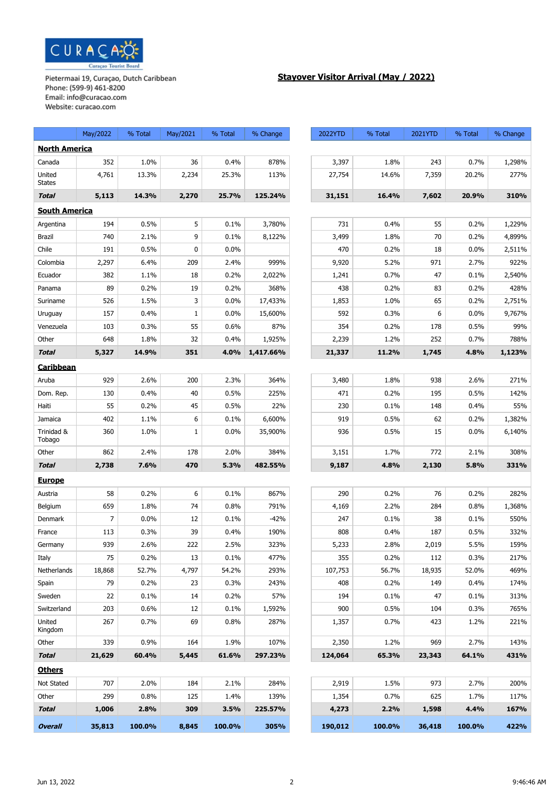

# **Stayover Visitor Arrival (May / 2022)**

|                         | May/2022       | % Total | May/2021     | % Total | % Change  | 2022YTD | % Total | 2021YTD | % Total | % Change |
|-------------------------|----------------|---------|--------------|---------|-----------|---------|---------|---------|---------|----------|
| <b>North America</b>    |                |         |              |         |           |         |         |         |         |          |
| Canada                  | 352            | 1.0%    | 36           | 0.4%    | 878%      | 3,397   | 1.8%    | 243     | 0.7%    | 1,298%   |
| United<br><b>States</b> | 4,761          | 13.3%   | 2,234        | 25.3%   | 113%      | 27,754  | 14.6%   | 7,359   | 20.2%   | 277%     |
| <b>Total</b>            | 5,113          | 14.3%   | 2,270        | 25.7%   | 125.24%   | 31,151  | 16.4%   | 7,602   | 20.9%   | 310%     |
| <b>South America</b>    |                |         |              |         |           |         |         |         |         |          |
| Argentina               | 194            | 0.5%    | 5            | 0.1%    | 3,780%    | 731     | 0.4%    | 55      | 0.2%    | 1,229%   |
| <b>Brazil</b>           | 740            | 2.1%    | 9            | 0.1%    | 8,122%    | 3,499   | 1.8%    | 70      | 0.2%    | 4,899%   |
| Chile                   | 191            | 0.5%    | 0            | 0.0%    |           | 470     | 0.2%    | 18      | 0.0%    | 2,511%   |
| Colombia                | 2,297          | 6.4%    | 209          | 2.4%    | 999%      | 9,920   | 5.2%    | 971     | 2.7%    | 922%     |
| Ecuador                 | 382            | 1.1%    | 18           | 0.2%    | 2,022%    | 1,241   | 0.7%    | 47      | 0.1%    | 2,540%   |
| Panama                  | 89             | 0.2%    | 19           | 0.2%    | 368%      | 438     | 0.2%    | 83      | 0.2%    | 428%     |
| Suriname                | 526            | 1.5%    | 3            | 0.0%    | 17,433%   | 1,853   | 1.0%    | 65      | 0.2%    | 2,751%   |
| Uruguay                 | 157            | 0.4%    | $\mathbf{1}$ | 0.0%    | 15,600%   | 592     | 0.3%    | 6       | 0.0%    | 9,767%   |
| Venezuela               | 103            | 0.3%    | 55           | 0.6%    | 87%       | 354     | 0.2%    | 178     | 0.5%    | 99%      |
| Other                   | 648            | 1.8%    | 32           | 0.4%    | 1,925%    | 2,239   | 1.2%    | 252     | 0.7%    | 788%     |
| <b>Total</b>            | 5,327          | 14.9%   | 351          | 4.0%    | 1,417.66% | 21,337  | 11.2%   | 1,745   | 4.8%    | 1,123%   |
| Caribbean               |                |         |              |         |           |         |         |         |         |          |
| Aruba                   | 929            | 2.6%    | 200          | 2.3%    | 364%      | 3,480   | 1.8%    | 938     | 2.6%    | 271%     |
| Dom. Rep.               | 130            | 0.4%    | 40           | 0.5%    | 225%      | 471     | 0.2%    | 195     | 0.5%    | 142%     |
| Haiti                   | 55             | 0.2%    | 45           | 0.5%    | 22%       | 230     | 0.1%    | 148     | 0.4%    | 55%      |
| Jamaica                 | 402            | 1.1%    | 6            | 0.1%    | 6,600%    | 919     | 0.5%    | 62      | 0.2%    | 1,382%   |
| Trinidad &<br>Tobago    | 360            | 1.0%    | $\mathbf{1}$ | 0.0%    | 35,900%   | 936     | 0.5%    | 15      | $0.0\%$ | 6,140%   |
| Other                   | 862            | 2.4%    | 178          | 2.0%    | 384%      | 3,151   | 1.7%    | 772     | 2.1%    | 308%     |
| <b>Total</b>            | 2,738          | 7.6%    | 470          | 5.3%    | 482.55%   | 9,187   | 4.8%    | 2,130   | 5.8%    | 331%     |
| <b>Europe</b>           |                |         |              |         |           |         |         |         |         |          |
| Austria                 | 58             | 0.2%    | 6            | 0.1%    | 867%      | 290     | 0.2%    | 76      | 0.2%    | 282%     |
| Belgium                 | 659            | 1.8%    | 74           | 0.8%    | 791%      | 4,169   | 2.2%    | 284     | 0.8%    | 1,368%   |
| Denmark                 | $\overline{7}$ | 0.0%    | 12           | 0.1%    | $-42%$    | 247     | 0.1%    | 38      | 0.1%    | 550%     |
| France                  | 113            | 0.3%    | 39           | 0.4%    | 190%      | 808     | 0.4%    | 187     | 0.5%    | 332%     |
| Germany                 | 939            | 2.6%    | 222          | 2.5%    | 323%      | 5,233   | 2.8%    | 2,019   | 5.5%    | 159%     |
| Italy                   | 75             | 0.2%    | 13           | 0.1%    | 477%      | 355     | 0.2%    | 112     | 0.3%    | 217%     |
| Netherlands             | 18,868         | 52.7%   | 4,797        | 54.2%   | 293%      | 107,753 | 56.7%   | 18,935  | 52.0%   | 469%     |
| Spain                   | 79             | 0.2%    | 23           | 0.3%    | 243%      | 408     | 0.2%    | 149     | 0.4%    | 174%     |
| Sweden                  | 22             | 0.1%    | 14           | 0.2%    | 57%       | 194     | 0.1%    | 47      | 0.1%    | 313%     |
| Switzerland             | 203            | 0.6%    | 12           | 0.1%    | 1,592%    | 900     | 0.5%    | 104     | 0.3%    | 765%     |
| United<br>Kingdom       | 267            | 0.7%    | 69           | 0.8%    | 287%      | 1,357   | 0.7%    | 423     | 1.2%    | 221%     |
| Other                   | 339            | 0.9%    | 164          | 1.9%    | 107%      | 2,350   | 1.2%    | 969     | 2.7%    | 143%     |
| <b>Total</b>            | 21,629         | 60.4%   | 5,445        | 61.6%   | 297.23%   | 124,064 | 65.3%   | 23,343  | 64.1%   | 431%     |
| <b>Others</b>           |                |         |              |         |           |         |         |         |         |          |
| Not Stated              | 707            | 2.0%    | 184          | 2.1%    | 284%      | 2,919   | 1.5%    | 973     | 2.7%    | 200%     |
| Other                   | 299            | 0.8%    | 125          | 1.4%    | 139%      | 1,354   | 0.7%    | 625     | 1.7%    | 117%     |
| <b>Total</b>            | 1,006          | 2.8%    | 309          | 3.5%    | 225.57%   | 4,273   | 2.2%    | 1,598   | 4.4%    | 167%     |
| <b>Overall</b>          | 35,813         | 100.0%  | 8,845        | 100.0%  | 305%      | 190,012 | 100.0%  | 36,418  | 100.0%  | 422%     |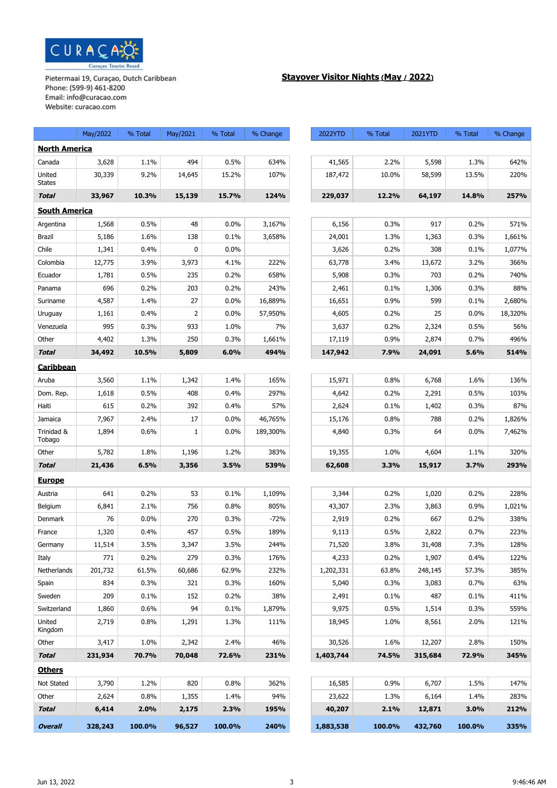

# **Stayover Visitor Nights (May / 2022)**

|                         | May/2022 | % Total | May/2021     | % Total | % Change | 2022YTD   | % Total | 2021YTD | % Total | % Change |
|-------------------------|----------|---------|--------------|---------|----------|-----------|---------|---------|---------|----------|
| <b>North America</b>    |          |         |              |         |          |           |         |         |         |          |
| Canada                  | 3,628    | 1.1%    | 494          | 0.5%    | 634%     | 41,565    | 2.2%    | 5,598   | 1.3%    | 642%     |
| United<br><b>States</b> | 30,339   | 9.2%    | 14,645       | 15.2%   | 107%     | 187,472   | 10.0%   | 58,599  | 13.5%   | 220%     |
| Total                   | 33,967   | 10.3%   | 15,139       | 15.7%   | 124%     | 229,037   | 12.2%   | 64,197  | 14.8%   | 257%     |
| <b>South America</b>    |          |         |              |         |          |           |         |         |         |          |
| Argentina               | 1,568    | 0.5%    | 48           | 0.0%    | 3,167%   | 6,156     | 0.3%    | 917     | 0.2%    | 571%     |
| <b>Brazil</b>           | 5,186    | 1.6%    | 138          | 0.1%    | 3,658%   | 24,001    | 1.3%    | 1,363   | 0.3%    | 1,661%   |
| Chile                   | 1,341    | 0.4%    | 0            | 0.0%    |          | 3,626     | 0.2%    | 308     | 0.1%    | 1,077%   |
| Colombia                | 12,775   | 3.9%    | 3,973        | 4.1%    | 222%     | 63,778    | 3.4%    | 13,672  | 3.2%    | 366%     |
| Ecuador                 | 1,781    | 0.5%    | 235          | 0.2%    | 658%     | 5,908     | 0.3%    | 703     | 0.2%    | 740%     |
| Panama                  | 696      | 0.2%    | 203          | 0.2%    | 243%     | 2,461     | 0.1%    | 1,306   | 0.3%    | 88%      |
| Suriname                | 4,587    | 1.4%    | 27           | 0.0%    | 16,889%  | 16,651    | 0.9%    | 599     | 0.1%    | 2,680%   |
| Uruguay                 | 1,161    | 0.4%    | 2            | 0.0%    | 57,950%  | 4,605     | 0.2%    | 25      | 0.0%    | 18,320%  |
| Venezuela               | 995      | 0.3%    | 933          | 1.0%    | 7%       | 3,637     | 0.2%    | 2,324   | 0.5%    | 56%      |
| Other                   | 4,402    | 1.3%    | 250          | 0.3%    | 1,661%   | 17,119    | 0.9%    | 2,874   | 0.7%    | 496%     |
| <b>Total</b>            | 34,492   | 10.5%   | 5,809        | 6.0%    | 494%     | 147,942   | 7.9%    | 24,091  | 5.6%    | 514%     |
| Caribbean               |          |         |              |         |          |           |         |         |         |          |
| Aruba                   | 3,560    | 1.1%    | 1,342        | 1.4%    | 165%     | 15,971    | 0.8%    | 6,768   | 1.6%    | 136%     |
| Dom. Rep.               | 1,618    | 0.5%    | 408          | 0.4%    | 297%     | 4,642     | 0.2%    | 2,291   | 0.5%    | 103%     |
| Haiti                   | 615      | 0.2%    | 392          | 0.4%    | 57%      | 2,624     | 0.1%    | 1,402   | 0.3%    | 87%      |
| Jamaica                 | 7,967    | 2.4%    | 17           | 0.0%    | 46,765%  | 15,176    | 0.8%    | 788     | 0.2%    | 1,826%   |
| Trinidad &<br>Tobago    | 1,894    | 0.6%    | $\mathbf{1}$ | 0.0%    | 189,300% | 4,840     | 0.3%    | 64      | 0.0%    | 7,462%   |
| Other                   | 5,782    | 1.8%    | 1,196        | 1.2%    | 383%     | 19,355    | 1.0%    | 4,604   | 1.1%    | 320%     |
| <b>Total</b>            | 21,436   | 6.5%    | 3,356        | 3.5%    | 539%     | 62,608    | 3.3%    | 15,917  | 3.7%    | 293%     |
| <u>Europe</u>           |          |         |              |         |          |           |         |         |         |          |
| Austria                 | 641      | 0.2%    | 53           | 0.1%    | 1,109%   | 3,344     | 0.2%    | 1,020   | 0.2%    | 228%     |
| Belgium                 | 6,841    | 2.1%    | 756          | 0.8%    | 805%     | 43,307    | 2.3%    | 3,863   | 0.9%    | 1,021%   |
| Denmark                 | 76       | 0.0%    | 270          | 0.3%    | $-72%$   | 2,919     | 0.2%    | 667     | 0.2%    | 338%     |
| France                  | 1,320    | 0.4%    | 457          | 0.5%    | 189%     | 9,113     | 0.5%    | 2,822   | 0.7%    | 223%     |
| Germany                 | 11,514   | 3.5%    | 3,347        | 3.5%    | 244%     | 71,520    | 3.8%    | 31,408  | 7.3%    | 128%     |
| Italy                   | 771      | 0.2%    | 279          | 0.3%    | 176%     | 4,233     | 0.2%    | 1,907   | 0.4%    | 122%     |
| Netherlands             | 201,732  | 61.5%   | 60,686       | 62.9%   | 232%     | 1,202,331 | 63.8%   | 248,145 | 57.3%   | 385%     |
| Spain                   | 834      | 0.3%    | 321          | 0.3%    | 160%     | 5,040     | 0.3%    | 3,083   | 0.7%    | 63%      |
| Sweden                  | 209      | 0.1%    | 152          | 0.2%    | 38%      | 2,491     | 0.1%    | 487     | 0.1%    | 411%     |
| Switzerland             | 1,860    | 0.6%    | 94           | 0.1%    | 1,879%   | 9,975     | 0.5%    | 1,514   | 0.3%    | 559%     |
| United<br>Kingdom       | 2,719    | 0.8%    | 1,291        | 1.3%    | 111%     | 18,945    | 1.0%    | 8,561   | 2.0%    | 121%     |
| Other                   | 3,417    | 1.0%    | 2,342        | 2.4%    | 46%      | 30,526    | 1.6%    | 12,207  | 2.8%    | 150%     |
| <b>Total</b>            | 231,934  | 70.7%   | 70,048       | 72.6%   | 231%     | 1,403,744 | 74.5%   | 315,684 | 72.9%   | 345%     |
| <b>Others</b>           |          |         |              |         |          |           |         |         |         |          |
| Not Stated              | 3,790    | 1.2%    | 820          | 0.8%    | 362%     | 16,585    | 0.9%    | 6,707   | 1.5%    | 147%     |
| Other                   | 2,624    | 0.8%    | 1,355        | 1.4%    | 94%      | 23,622    | 1.3%    | 6,164   | 1.4%    | 283%     |
| <b>Total</b>            | 6,414    | 2.0%    | 2,175        | 2.3%    | 195%     | 40,207    | 2.1%    | 12,871  | 3.0%    | 212%     |
| <b>Overall</b>          | 328,243  | 100.0%  | 96,527       | 100.0%  | 240%     | 1,883,538 | 100.0%  | 432,760 | 100.0%  | 335%     |